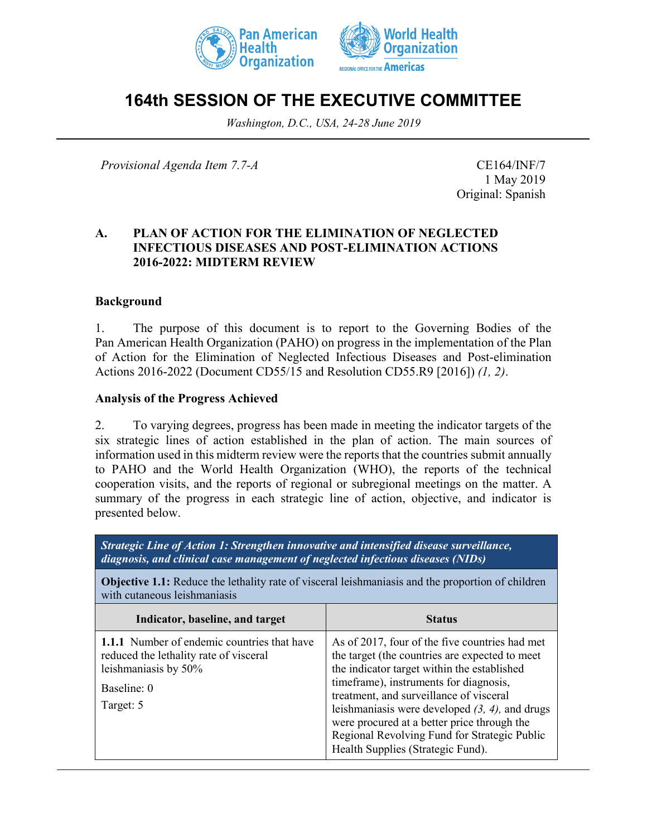



# **164th SESSION OF THE EXECUTIVE COMMITTEE**

*Washington, D.C., USA, 24-28 June 2019*

*Provisional Agenda Item 7.7-A* CE164/INF/7

1 May 2019 Original: Spanish

## **A. PLAN OF ACTION FOR THE ELIMINATION OF NEGLECTED INFECTIOUS DISEASES AND POST-ELIMINATION ACTIONS 2016-2022: MIDTERM REVIEW**

## **Background**

1. The purpose of this document is to report to the Governing Bodies of the Pan American Health Organization (PAHO) on progress in the implementation of the Plan of Action for the Elimination of Neglected Infectious Diseases and Post-elimination Actions 2016-2022 (Document CD55/15 and Resolution CD55.R9 [2016]) *(1, 2)*.

#### **Analysis of the Progress Achieved**

2. To varying degrees, progress has been made in meeting the indicator targets of the six strategic lines of action established in the plan of action. The main sources of information used in this midterm review were the reports that the countries submit annually to PAHO and the World Health Organization (WHO), the reports of the technical cooperation visits, and the reports of regional or subregional meetings on the matter. A summary of the progress in each strategic line of action, objective, and indicator is presented below.

*Strategic Line of Action 1: Strengthen innovative and intensified disease surveillance, diagnosis, and clinical case management of neglected infectious diseases (NIDs)*

**Objective 1.1:** Reduce the lethality rate of visceral leishmaniasis and the proportion of children with cutaneous leishmaniasis

| Indicator, baseline, and target                                                                                                           | <b>Status</b>                                                                                                                                                                                                                                                                                                                                                                                                                 |
|-------------------------------------------------------------------------------------------------------------------------------------------|-------------------------------------------------------------------------------------------------------------------------------------------------------------------------------------------------------------------------------------------------------------------------------------------------------------------------------------------------------------------------------------------------------------------------------|
| 1.1.1 Number of endemic countries that have<br>reduced the lethality rate of visceral<br>leishmaniasis by 50%<br>Baseline: 0<br>Target: 5 | As of 2017, four of the five countries had met<br>the target (the countries are expected to meet<br>the indicator target within the established<br>timeframe), instruments for diagnosis,<br>treatment, and surveillance of visceral<br>leishmaniasis were developed $(3, 4)$ , and drugs<br>were procured at a better price through the<br>Regional Revolving Fund for Strategic Public<br>Health Supplies (Strategic Fund). |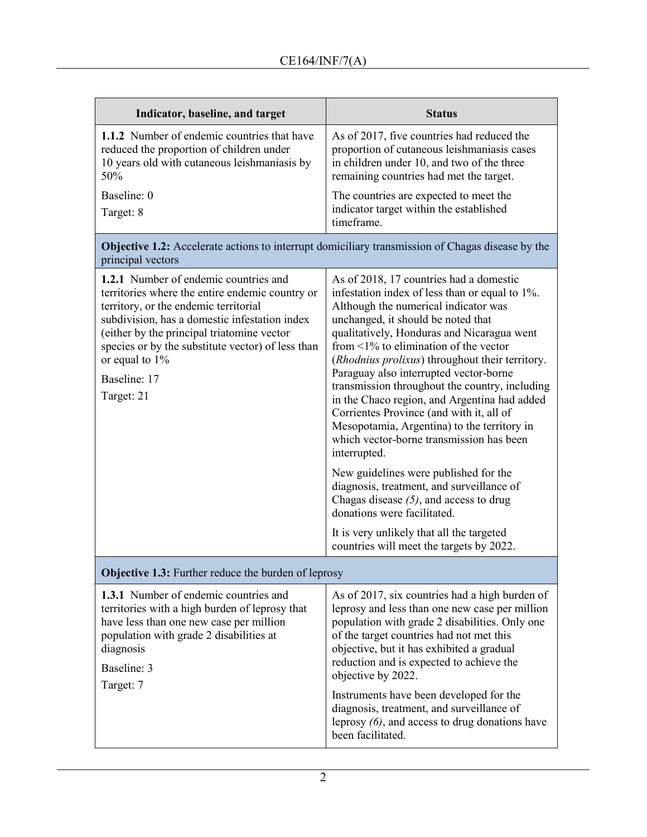| Indicator, baseline, and target                                                                                                                                                                                                                                                                                                          | <b>Status</b>                                                                                                                                                                                                                                                                                                                                                                                                                                                                                                                                                                                                                                                                                                                                                                                                                                                                         |  |
|------------------------------------------------------------------------------------------------------------------------------------------------------------------------------------------------------------------------------------------------------------------------------------------------------------------------------------------|---------------------------------------------------------------------------------------------------------------------------------------------------------------------------------------------------------------------------------------------------------------------------------------------------------------------------------------------------------------------------------------------------------------------------------------------------------------------------------------------------------------------------------------------------------------------------------------------------------------------------------------------------------------------------------------------------------------------------------------------------------------------------------------------------------------------------------------------------------------------------------------|--|
| 1.1.2 Number of endemic countries that have<br>reduced the proportion of children under<br>10 years old with cutaneous leishmaniasis by<br>50%                                                                                                                                                                                           | As of 2017, five countries had reduced the<br>proportion of cutaneous leishmaniasis cases<br>in children under 10, and two of the three<br>remaining countries had met the target.                                                                                                                                                                                                                                                                                                                                                                                                                                                                                                                                                                                                                                                                                                    |  |
| Baseline: 0<br>Target: 8                                                                                                                                                                                                                                                                                                                 | The countries are expected to meet the<br>indicator target within the established<br>timeframe.                                                                                                                                                                                                                                                                                                                                                                                                                                                                                                                                                                                                                                                                                                                                                                                       |  |
| principal vectors                                                                                                                                                                                                                                                                                                                        | Objective 1.2: Accelerate actions to interrupt domiciliary transmission of Chagas disease by the                                                                                                                                                                                                                                                                                                                                                                                                                                                                                                                                                                                                                                                                                                                                                                                      |  |
| 1.2.1 Number of endemic countries and<br>territories where the entire endemic country or<br>territory, or the endemic territorial<br>subdivision, has a domestic infestation index<br>(either by the principal triatomine vector<br>species or by the substitute vector) of less than<br>or equal to $1\%$<br>Baseline: 17<br>Target: 21 | As of 2018, 17 countries had a domestic<br>infestation index of less than or equal to 1%.<br>Although the numerical indicator was<br>unchanged, it should be noted that<br>qualitatively, Honduras and Nicaragua went<br>from $\leq$ 1% to elimination of the vector<br>(Rhodnius prolixus) throughout their territory.<br>Paraguay also interrupted vector-borne<br>transmission throughout the country, including<br>in the Chaco region, and Argentina had added<br>Corrientes Province (and with it, all of<br>Mesopotamia, Argentina) to the territory in<br>which vector-borne transmission has been<br>interrupted.<br>New guidelines were published for the<br>diagnosis, treatment, and surveillance of<br>Chagas disease $(5)$ , and access to drug<br>donations were facilitated.<br>It is very unlikely that all the targeted<br>countries will meet the targets by 2022. |  |
| <b>Objective 1.3:</b> Further reduce the burden of leprosy                                                                                                                                                                                                                                                                               |                                                                                                                                                                                                                                                                                                                                                                                                                                                                                                                                                                                                                                                                                                                                                                                                                                                                                       |  |
| 1.3.1 Number of endemic countries and<br>territories with a high burden of leprosy that<br>have less than one new case per million<br>population with grade 2 disabilities at<br>diagnosis<br>Baseline: 3<br>Target: 7                                                                                                                   | As of 2017, six countries had a high burden of<br>leprosy and less than one new case per million<br>population with grade 2 disabilities. Only one<br>of the target countries had not met this<br>objective, but it has exhibited a gradual<br>reduction and is expected to achieve the<br>objective by 2022.<br>Instruments have been developed for the<br>diagnosis, treatment, and surveillance of<br>leprosy $(6)$ , and access to drug donations have<br>been facilitated.                                                                                                                                                                                                                                                                                                                                                                                                       |  |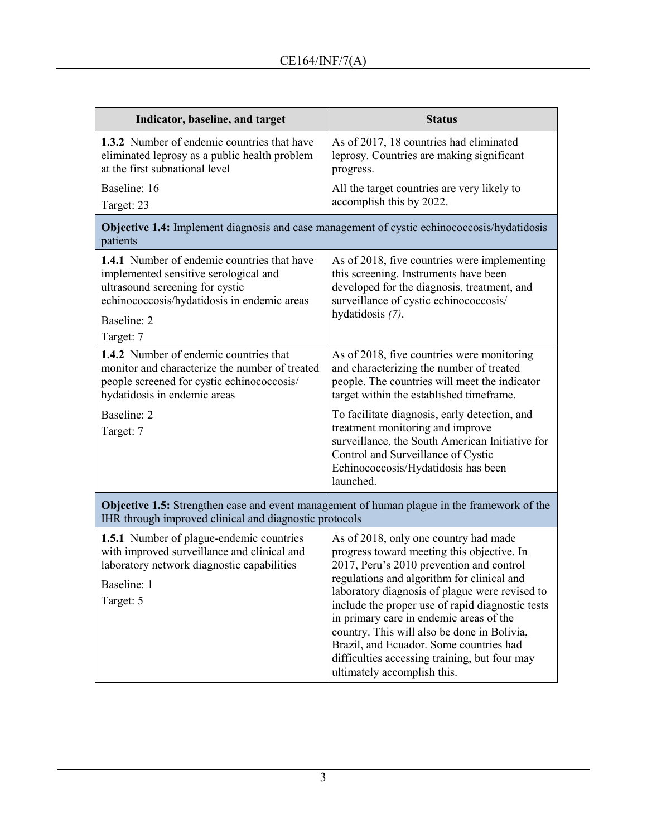| Indicator, baseline, and target                                                                                                                                                                           | <b>Status</b>                                                                                                                                                                                                                                                                                                                                                                                                                                                                                            |  |
|-----------------------------------------------------------------------------------------------------------------------------------------------------------------------------------------------------------|----------------------------------------------------------------------------------------------------------------------------------------------------------------------------------------------------------------------------------------------------------------------------------------------------------------------------------------------------------------------------------------------------------------------------------------------------------------------------------------------------------|--|
| <b>1.3.2</b> Number of endemic countries that have<br>eliminated leprosy as a public health problem<br>at the first subnational level                                                                     | As of 2017, 18 countries had eliminated<br>leprosy. Countries are making significant<br>progress.                                                                                                                                                                                                                                                                                                                                                                                                        |  |
| Baseline: 16<br>Target: 23                                                                                                                                                                                | All the target countries are very likely to<br>accomplish this by 2022.                                                                                                                                                                                                                                                                                                                                                                                                                                  |  |
| <b>Objective 1.4:</b> Implement diagnosis and case management of cystic echinococcosis/hydatidosis<br>patients                                                                                            |                                                                                                                                                                                                                                                                                                                                                                                                                                                                                                          |  |
| <b>1.4.1</b> Number of endemic countries that have<br>implemented sensitive serological and<br>ultrasound screening for cystic<br>echinococcosis/hydatidosis in endemic areas<br>Baseline: 2<br>Target: 7 | As of 2018, five countries were implementing<br>this screening. Instruments have been<br>developed for the diagnosis, treatment, and<br>surveillance of cystic echinococcosis/<br>hydatidosis (7).                                                                                                                                                                                                                                                                                                       |  |
| 1.4.2 Number of endemic countries that<br>monitor and characterize the number of treated<br>people screened for cystic echinococcosis/<br>hydatidosis in endemic areas<br>Baseline: 2<br>Target: 7        | As of 2018, five countries were monitoring<br>and characterizing the number of treated<br>people. The countries will meet the indicator<br>target within the established timeframe.<br>To facilitate diagnosis, early detection, and<br>treatment monitoring and improve                                                                                                                                                                                                                                 |  |
|                                                                                                                                                                                                           | surveillance, the South American Initiative for<br>Control and Surveillance of Cystic<br>Echinococcosis/Hydatidosis has been<br>launched.                                                                                                                                                                                                                                                                                                                                                                |  |
| <b>Objective 1.5:</b> Strengthen case and event management of human plague in the framework of the<br>IHR through improved clinical and diagnostic protocols                                              |                                                                                                                                                                                                                                                                                                                                                                                                                                                                                                          |  |
| <b>1.5.1</b> Number of plague-endemic countries<br>with improved surveillance and clinical and<br>laboratory network diagnostic capabilities<br>Baseline: 1<br>Target: 5                                  | As of 2018, only one country had made<br>progress toward meeting this objective. In<br>2017, Peru's 2010 prevention and control<br>regulations and algorithm for clinical and<br>laboratory diagnosis of plague were revised to<br>include the proper use of rapid diagnostic tests<br>in primary care in endemic areas of the<br>country. This will also be done in Bolivia,<br>Brazil, and Ecuador. Some countries had<br>difficulties accessing training, but four may<br>ultimately accomplish this. |  |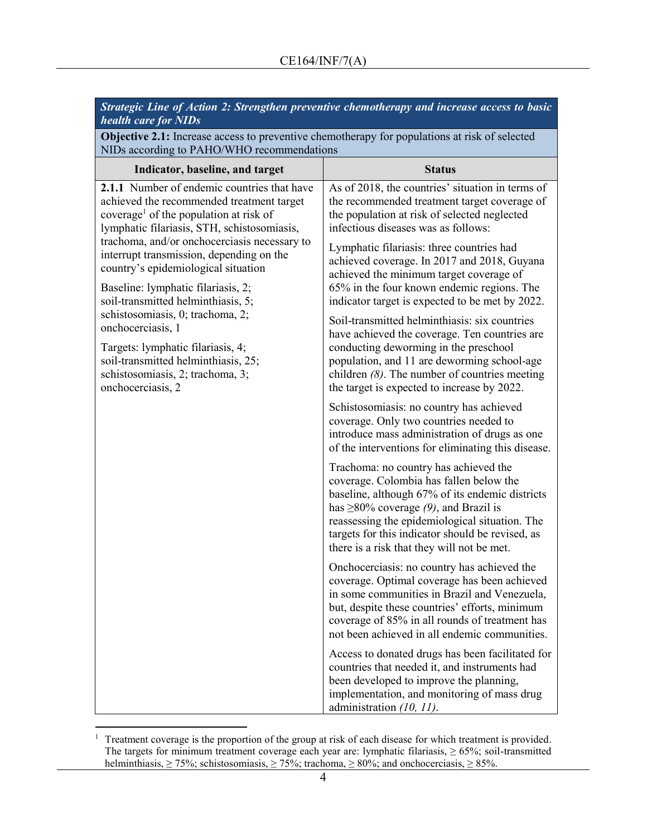| <b>health care for NIDs</b>                                                                                                                                                                                                                                                                                                      | Strategic Line of Action 2: Strengthen preventive chemotherapy and increase access to basic                                                                                                                                                                                                                                           |
|----------------------------------------------------------------------------------------------------------------------------------------------------------------------------------------------------------------------------------------------------------------------------------------------------------------------------------|---------------------------------------------------------------------------------------------------------------------------------------------------------------------------------------------------------------------------------------------------------------------------------------------------------------------------------------|
| <b>Objective 2.1:</b> Increase access to preventive chemotherapy for populations at risk of selected<br>NIDs according to PAHO/WHO recommendations                                                                                                                                                                               |                                                                                                                                                                                                                                                                                                                                       |
| Indicator, baseline, and target                                                                                                                                                                                                                                                                                                  | <b>Status</b>                                                                                                                                                                                                                                                                                                                         |
| 2.1.1 Number of endemic countries that have<br>achieved the recommended treatment target<br>coverage <sup>1</sup> of the population at risk of<br>lymphatic filariasis, STH, schistosomiasis,<br>trachoma, and/or onchocerciasis necessary to<br>interrupt transmission, depending on the<br>country's epidemiological situation | As of 2018, the countries' situation in terms of<br>the recommended treatment target coverage of<br>the population at risk of selected neglected<br>infectious diseases was as follows:<br>Lymphatic filariasis: three countries had<br>achieved coverage. In 2017 and 2018, Guyana                                                   |
| Baseline: lymphatic filariasis, 2;<br>soil-transmitted helminthiasis, 5;<br>schistosomiasis, 0; trachoma, 2;<br>onchocerciasis, 1<br>Targets: lymphatic filariasis, 4;<br>soil-transmitted helminthiasis, 25;<br>schistosomiasis, 2; trachoma, 3;<br>onchocerciasis, 2                                                           | achieved the minimum target coverage of<br>65% in the four known endemic regions. The<br>indicator target is expected to be met by 2022.                                                                                                                                                                                              |
|                                                                                                                                                                                                                                                                                                                                  | Soil-transmitted helminthiasis: six countries<br>have achieved the coverage. Ten countries are<br>conducting deworming in the preschool<br>population, and 11 are deworming school-age<br>children $(8)$ . The number of countries meeting<br>the target is expected to increase by 2022.                                             |
|                                                                                                                                                                                                                                                                                                                                  | Schistosomiasis: no country has achieved<br>coverage. Only two countries needed to<br>introduce mass administration of drugs as one<br>of the interventions for eliminating this disease.                                                                                                                                             |
|                                                                                                                                                                                                                                                                                                                                  | Trachoma: no country has achieved the<br>coverage. Colombia has fallen below the<br>baseline, although 67% of its endemic districts<br>has $\geq$ 80% coverage (9), and Brazil is<br>reassessing the epidemiological situation. The<br>targets for this indicator should be revised, as<br>there is a risk that they will not be met. |
|                                                                                                                                                                                                                                                                                                                                  | Onchocerciasis: no country has achieved the<br>coverage. Optimal coverage has been achieved<br>in some communities in Brazil and Venezuela,<br>but, despite these countries' efforts, minimum<br>coverage of 85% in all rounds of treatment has<br>not been achieved in all endemic communities.                                      |
|                                                                                                                                                                                                                                                                                                                                  | Access to donated drugs has been facilitated for<br>countries that needed it, and instruments had<br>been developed to improve the planning,<br>implementation, and monitoring of mass drug<br>administration (10, 11).                                                                                                               |

 $\overline{a}$ <sup>1</sup> Treatment coverage is the proportion of the group at risk of each disease for which treatment is provided. The targets for minimum treatment coverage each year are: lymphatic filariasis, ≥ 65%; soil-transmitted helminthiasis,  $\geq$  75%; schistosomiasis,  $\geq$  75%; trachoma,  $\geq$  80%; and onchocerciasis,  $\geq$  85%.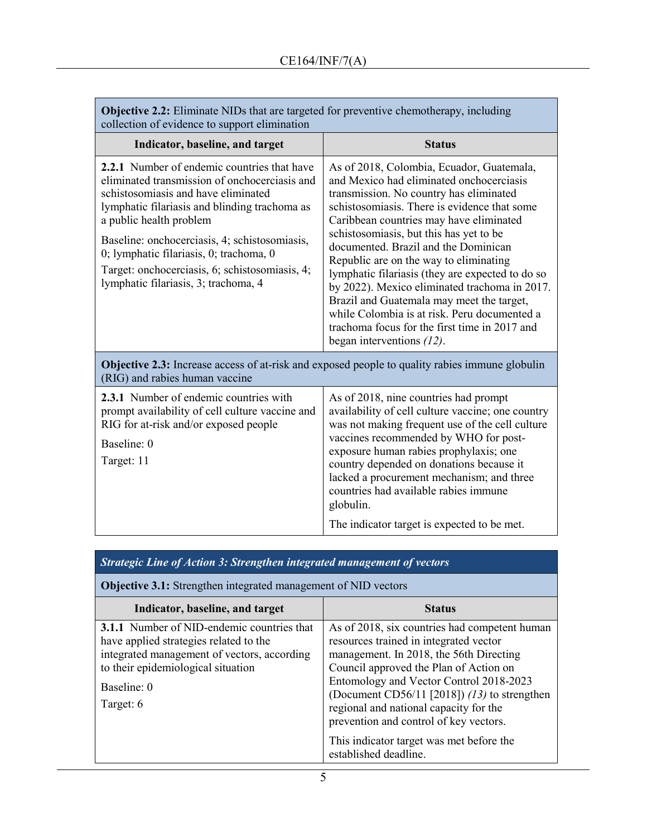| <b>Objective 2.2:</b> Eliminate NIDs that are targeted for preventive chemotherapy, including<br>collection of evidence to support elimination                                                                                                                                                                                                                                                        |                                                                                                                                                                                                                                                                                                                                                                                                                                                                                                                                                                                                                                             |  |
|-------------------------------------------------------------------------------------------------------------------------------------------------------------------------------------------------------------------------------------------------------------------------------------------------------------------------------------------------------------------------------------------------------|---------------------------------------------------------------------------------------------------------------------------------------------------------------------------------------------------------------------------------------------------------------------------------------------------------------------------------------------------------------------------------------------------------------------------------------------------------------------------------------------------------------------------------------------------------------------------------------------------------------------------------------------|--|
| Indicator, baseline, and target                                                                                                                                                                                                                                                                                                                                                                       | <b>Status</b>                                                                                                                                                                                                                                                                                                                                                                                                                                                                                                                                                                                                                               |  |
| 2.2.1 Number of endemic countries that have<br>eliminated transmission of onchocerciasis and<br>schistosomiasis and have eliminated<br>lymphatic filariasis and blinding trachoma as<br>a public health problem<br>Baseline: onchocerciasis, 4; schistosomiasis,<br>0; lymphatic filariasis, 0; trachoma, 0<br>Target: onchocerciasis, 6; schistosomiasis, 4;<br>lymphatic filariasis, 3; trachoma, 4 | As of 2018, Colombia, Ecuador, Guatemala,<br>and Mexico had eliminated onchocerciasis<br>transmission. No country has eliminated<br>schistosomiasis. There is evidence that some<br>Caribbean countries may have eliminated<br>schistosomiasis, but this has yet to be<br>documented. Brazil and the Dominican<br>Republic are on the way to eliminating<br>lymphatic filariasis (they are expected to do so<br>by 2022). Mexico eliminated trachoma in 2017.<br>Brazil and Guatemala may meet the target,<br>while Colombia is at risk. Peru documented a<br>trachoma focus for the first time in 2017 and<br>began interventions $(12)$ . |  |
| <b>Objective 2.3:</b> Increase access of at-risk and exposed people to quality rabies immune globulin<br>(RIG) and rabies human vaccine                                                                                                                                                                                                                                                               |                                                                                                                                                                                                                                                                                                                                                                                                                                                                                                                                                                                                                                             |  |
| 2.3.1 Number of endemic countries with<br>prompt availability of cell culture vaccine and<br>RIG for at-risk and/or exposed people<br>Baseline: 0<br>Target: 11                                                                                                                                                                                                                                       | As of 2018, nine countries had prompt<br>availability of cell culture vaccine; one country<br>was not making frequent use of the cell culture<br>vaccines recommended by WHO for post-<br>exposure human rabies prophylaxis; one<br>country depended on donations because it<br>lacked a procurement mechanism; and three<br>countries had available rabies immune<br>globulin.                                                                                                                                                                                                                                                             |  |
|                                                                                                                                                                                                                                                                                                                                                                                                       | The indicator target is expected to be met.                                                                                                                                                                                                                                                                                                                                                                                                                                                                                                                                                                                                 |  |

# *Strategic Line of Action 3: Strengthen integrated management of vectors*

**Objective 3.1:** Strengthen integrated management of NID vectors

| Indicator, baseline, and target             | <b>Status</b>                                  |
|---------------------------------------------|------------------------------------------------|
| 3.1.1 Number of NID-endemic countries that  | As of 2018, six countries had competent human  |
| have applied strategies related to the      | resources trained in integrated vector         |
| integrated management of vectors, according | management. In 2018, the 56th Directing        |
| to their epidemiological situation          | Council approved the Plan of Action on         |
| Baseline: 0                                 | Entomology and Vector Control 2018-2023        |
|                                             | (Document CD56/11 [2018]) $(13)$ to strengthen |
| Target: 6                                   | regional and national capacity for the         |
|                                             | prevention and control of key vectors.         |
|                                             | This indicator target was met before the       |
|                                             | established deadline.                          |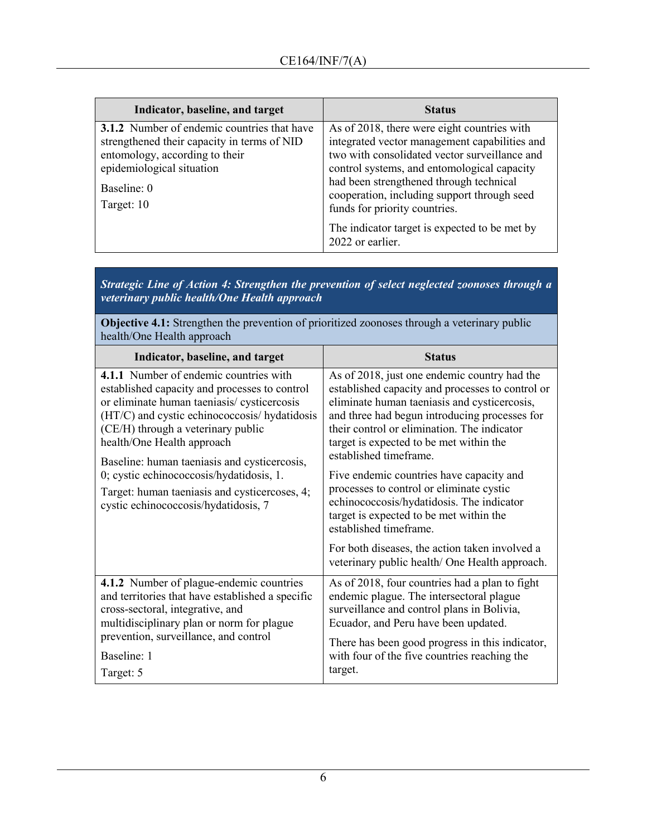| Indicator, baseline, and target                                                                                                                                                               | <b>Status</b>                                                                                                                                                                                                                                                                                                           |
|-----------------------------------------------------------------------------------------------------------------------------------------------------------------------------------------------|-------------------------------------------------------------------------------------------------------------------------------------------------------------------------------------------------------------------------------------------------------------------------------------------------------------------------|
| <b>3.1.2</b> Number of endemic countries that have<br>strengthened their capacity in terms of NID<br>entomology, according to their<br>epidemiological situation<br>Baseline: 0<br>Target: 10 | As of 2018, there were eight countries with<br>integrated vector management capabilities and<br>two with consolidated vector surveillance and<br>control systems, and entomological capacity<br>had been strengthened through technical<br>cooperation, including support through seed<br>funds for priority countries. |
|                                                                                                                                                                                               | The indicator target is expected to be met by<br>2022 or earlier.                                                                                                                                                                                                                                                       |

*Strategic Line of Action 4: Strengthen the prevention of select neglected zoonoses through a veterinary public health/One Health approach*

**Objective 4.1:** Strengthen the prevention of prioritized zoonoses through a veterinary public health/One Health approach

| Indicator, baseline, and target                                                                                                                                                                                                                                                                                                                                                                                                                  | <b>Status</b>                                                                                                                                                                                                                                                                                                                                                                                                                                                                                                                   |
|--------------------------------------------------------------------------------------------------------------------------------------------------------------------------------------------------------------------------------------------------------------------------------------------------------------------------------------------------------------------------------------------------------------------------------------------------|---------------------------------------------------------------------------------------------------------------------------------------------------------------------------------------------------------------------------------------------------------------------------------------------------------------------------------------------------------------------------------------------------------------------------------------------------------------------------------------------------------------------------------|
| 4.1.1 Number of endemic countries with<br>established capacity and processes to control<br>or eliminate human taeniasis/ cysticercosis<br>(HT/C) and cystic echinococcosis/ hydatidosis<br>(CE/H) through a veterinary public<br>health/One Health approach<br>Baseline: human taeniasis and cysticercosis,<br>0; cystic echinococcosis/hydatidosis, 1.<br>Target: human taeniasis and cysticercoses, 4;<br>cystic echinococcosis/hydatidosis, 7 | As of 2018, just one endemic country had the<br>established capacity and processes to control or<br>eliminate human taeniasis and cysticercosis,<br>and three had begun introducing processes for<br>their control or elimination. The indicator<br>target is expected to be met within the<br>established timeframe.<br>Five endemic countries have capacity and<br>processes to control or eliminate cystic<br>echinococcosis/hydatidosis. The indicator<br>target is expected to be met within the<br>established timeframe. |
|                                                                                                                                                                                                                                                                                                                                                                                                                                                  | For both diseases, the action taken involved a<br>veterinary public health/ One Health approach.                                                                                                                                                                                                                                                                                                                                                                                                                                |
| 4.1.2 Number of plague-endemic countries<br>and territories that have established a specific<br>cross-sectoral, integrative, and<br>multidisciplinary plan or norm for plague<br>prevention, surveillance, and control<br>Baseline: 1                                                                                                                                                                                                            | As of 2018, four countries had a plan to fight<br>endemic plague. The intersectoral plague<br>surveillance and control plans in Bolivia,<br>Ecuador, and Peru have been updated.<br>There has been good progress in this indicator,<br>with four of the five countries reaching the                                                                                                                                                                                                                                             |
| Target: 5                                                                                                                                                                                                                                                                                                                                                                                                                                        | target.                                                                                                                                                                                                                                                                                                                                                                                                                                                                                                                         |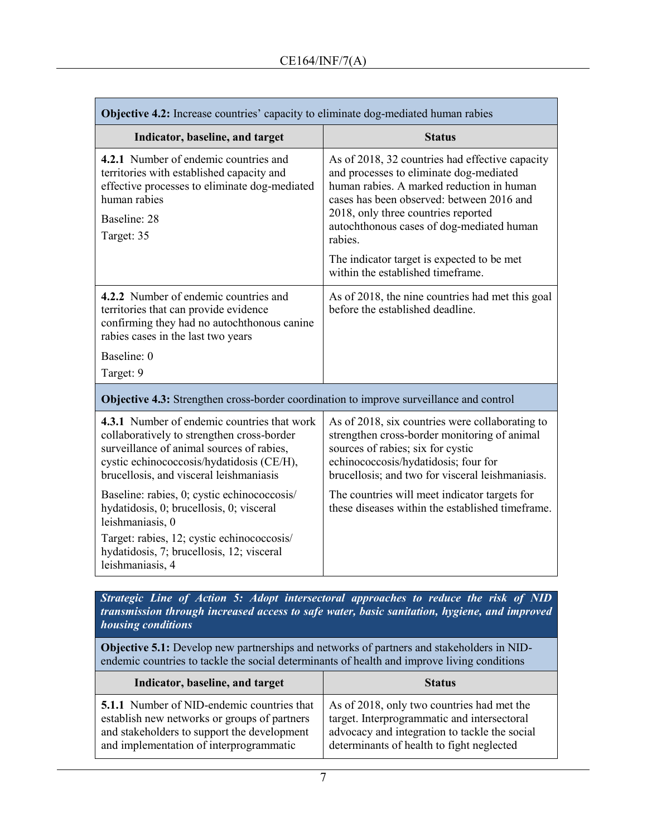| Objective 4.2: Increase countries' capacity to eliminate dog-mediated human rabies                                                                                                                                             |                                                                                                                                                                                                                                                                                     |
|--------------------------------------------------------------------------------------------------------------------------------------------------------------------------------------------------------------------------------|-------------------------------------------------------------------------------------------------------------------------------------------------------------------------------------------------------------------------------------------------------------------------------------|
| Indicator, baseline, and target                                                                                                                                                                                                | <b>Status</b>                                                                                                                                                                                                                                                                       |
| 4.2.1 Number of endemic countries and<br>territories with established capacity and<br>effective processes to eliminate dog-mediated<br>human rabies<br>Baseline: 28<br>Target: 35                                              | As of 2018, 32 countries had effective capacity<br>and processes to eliminate dog-mediated<br>human rabies. A marked reduction in human<br>cases has been observed: between 2016 and<br>2018, only three countries reported<br>autochthonous cases of dog-mediated human<br>rabies. |
|                                                                                                                                                                                                                                | The indicator target is expected to be met<br>within the established timeframe.                                                                                                                                                                                                     |
| 4.2.2 Number of endemic countries and<br>territories that can provide evidence<br>confirming they had no autochthonous canine<br>rabies cases in the last two years<br>Baseline: 0                                             | As of 2018, the nine countries had met this goal<br>before the established deadline.                                                                                                                                                                                                |
| Target: 9                                                                                                                                                                                                                      |                                                                                                                                                                                                                                                                                     |
| Objective 4.3: Strengthen cross-border coordination to improve surveillance and control                                                                                                                                        |                                                                                                                                                                                                                                                                                     |
| 4.3.1 Number of endemic countries that work<br>collaboratively to strengthen cross-border<br>surveillance of animal sources of rabies,<br>cystic echinococcosis/hydatidosis (CE/H),<br>brucellosis, and visceral leishmaniasis | As of 2018, six countries were collaborating to<br>strengthen cross-border monitoring of animal<br>sources of rabies; six for cystic<br>echinococcosis/hydatidosis; four for<br>brucellosis; and two for visceral leishmaniasis.                                                    |
| Baseline: rabies, 0; cystic echinococcosis/<br>hydatidosis, 0; brucellosis, 0; visceral<br>leishmaniasis, 0<br>Target: rabies, 12; cystic echinococcosis/<br>hydatidosis, 7; brucellosis, 12; visceral<br>leishmaniasis, 4     | The countries will meet indicator targets for<br>these diseases within the established timeframe.                                                                                                                                                                                   |

*Strategic Line of Action 5: Adopt intersectoral approaches to reduce the risk of NID transmission through increased access to safe water, basic sanitation, hygiene, and improved housing conditions* 

**Objective 5.1:** Develop new partnerships and networks of partners and stakeholders in NIDendemic countries to tackle the social determinants of health and improve living conditions

| Indicator, baseline, and target                   | <b>Status</b>                                 |
|---------------------------------------------------|-----------------------------------------------|
| <b>5.1.1</b> Number of NID-endemic countries that | As of 2018, only two countries had met the    |
| establish new networks or groups of partners      | target. Interprogrammatic and intersectoral   |
| and stakeholders to support the development       | advocacy and integration to tackle the social |
| and implementation of interprogrammatic           | determinants of health to fight neglected     |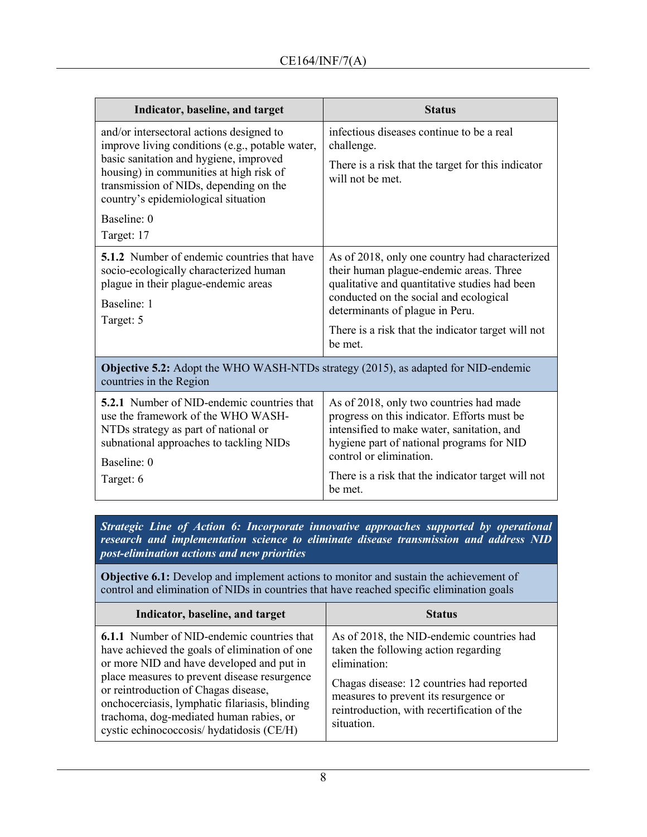| Indicator, baseline, and target                                                                                                                                                                                                                                                                | <b>Status</b>                                                                                                                                                                                                                                                                            |
|------------------------------------------------------------------------------------------------------------------------------------------------------------------------------------------------------------------------------------------------------------------------------------------------|------------------------------------------------------------------------------------------------------------------------------------------------------------------------------------------------------------------------------------------------------------------------------------------|
| and/or intersectoral actions designed to<br>improve living conditions (e.g., potable water,<br>basic sanitation and hygiene, improved<br>housing) in communities at high risk of<br>transmission of NIDs, depending on the<br>country's epidemiological situation<br>Baseline: 0<br>Target: 17 | infectious diseases continue to be a real<br>challenge.<br>There is a risk that the target for this indicator<br>will not be met.                                                                                                                                                        |
| <b>5.1.2</b> Number of endemic countries that have<br>socio-ecologically characterized human<br>plague in their plague-endemic areas<br>Baseline: 1<br>Target: 5                                                                                                                               | As of 2018, only one country had characterized<br>their human plague-endemic areas. Three<br>qualitative and quantitative studies had been<br>conducted on the social and ecological<br>determinants of plague in Peru.<br>There is a risk that the indicator target will not<br>be met. |
| <b>Objective 5.2:</b> Adopt the WHO WASH-NTDs strategy (2015), as adapted for NID-endemic<br>countries in the Region                                                                                                                                                                           |                                                                                                                                                                                                                                                                                          |
| <b>5.2.1</b> Number of NID-endemic countries that<br>use the framework of the WHO WASH-<br>NTDs strategy as part of national or<br>subnational approaches to tackling NIDs<br>Baseline: 0<br>Target: 6                                                                                         | As of 2018, only two countries had made<br>progress on this indicator. Efforts must be<br>intensified to make water, sanitation, and<br>hygiene part of national programs for NID<br>control or elimination.<br>There is a risk that the indicator target will not<br>be met.            |

*Strategic Line of Action 6: Incorporate innovative approaches supported by operational research and implementation science to eliminate disease transmission and address NID post-elimination actions and new priorities*

**Objective 6.1:** Develop and implement actions to monitor and sustain the achievement of control and elimination of NIDs in countries that have reached specific elimination goals

| Indicator, baseline, and target                                                                                                                                                                                                                                                                                                                                                   | <b>Status</b>                                                                                                                                                                                                                                        |
|-----------------------------------------------------------------------------------------------------------------------------------------------------------------------------------------------------------------------------------------------------------------------------------------------------------------------------------------------------------------------------------|------------------------------------------------------------------------------------------------------------------------------------------------------------------------------------------------------------------------------------------------------|
| <b>6.1.1</b> Number of NID-endemic countries that<br>have achieved the goals of elimination of one<br>or more NID and have developed and put in<br>place measures to prevent disease resurgence<br>or reintroduction of Chagas disease,<br>onchocerciasis, lymphatic filariasis, blinding<br>trachoma, dog-mediated human rabies, or<br>cystic echinococcosis/ hydatidosis (CE/H) | As of 2018, the NID-endemic countries had<br>taken the following action regarding<br>elimination:<br>Chagas disease: 12 countries had reported<br>measures to prevent its resurgence or<br>reintroduction, with recertification of the<br>situation. |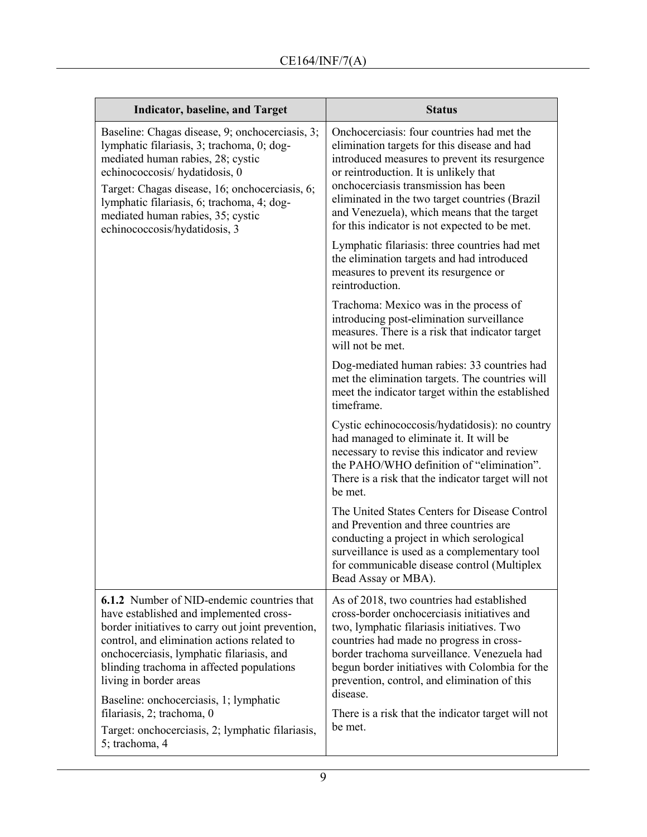| <b>Indicator, baseline, and Target</b>                                                                                                                                                                                                                                                                                                                         | <b>Status</b>                                                                                                                                                                                                                                                                                                                                                                   |
|----------------------------------------------------------------------------------------------------------------------------------------------------------------------------------------------------------------------------------------------------------------------------------------------------------------------------------------------------------------|---------------------------------------------------------------------------------------------------------------------------------------------------------------------------------------------------------------------------------------------------------------------------------------------------------------------------------------------------------------------------------|
| Baseline: Chagas disease, 9; onchocerciasis, 3;<br>lymphatic filariasis, 3; trachoma, 0; dog-<br>mediated human rabies, 28; cystic<br>echinococcosis/ hydatidosis, 0<br>Target: Chagas disease, 16; onchocerciasis, 6;<br>lymphatic filariasis, 6; trachoma, 4; dog-<br>mediated human rabies, 35; cystic<br>echinococcosis/hydatidosis, 3                     | Onchocerciasis: four countries had met the<br>elimination targets for this disease and had<br>introduced measures to prevent its resurgence<br>or reintroduction. It is unlikely that<br>onchocerciasis transmission has been<br>eliminated in the two target countries (Brazil<br>and Venezuela), which means that the target<br>for this indicator is not expected to be met. |
|                                                                                                                                                                                                                                                                                                                                                                | Lymphatic filariasis: three countries had met<br>the elimination targets and had introduced<br>measures to prevent its resurgence or<br>reintroduction.                                                                                                                                                                                                                         |
|                                                                                                                                                                                                                                                                                                                                                                | Trachoma: Mexico was in the process of<br>introducing post-elimination surveillance<br>measures. There is a risk that indicator target<br>will not be met.                                                                                                                                                                                                                      |
|                                                                                                                                                                                                                                                                                                                                                                | Dog-mediated human rabies: 33 countries had<br>met the elimination targets. The countries will<br>meet the indicator target within the established<br>timeframe.                                                                                                                                                                                                                |
|                                                                                                                                                                                                                                                                                                                                                                | Cystic echinococcosis/hydatidosis): no country<br>had managed to eliminate it. It will be<br>necessary to revise this indicator and review<br>the PAHO/WHO definition of "elimination".<br>There is a risk that the indicator target will not<br>be met.                                                                                                                        |
|                                                                                                                                                                                                                                                                                                                                                                | The United States Centers for Disease Control<br>and Prevention and three countries are<br>conducting a project in which serological<br>surveillance is used as a complementary tool<br>for communicable disease control (Multiplex<br>Bead Assay or MBA).                                                                                                                      |
| <b>6.1.2</b> Number of NID-endemic countries that<br>have established and implemented cross-<br>border initiatives to carry out joint prevention,<br>control, and elimination actions related to<br>onchocerciasis, lymphatic filariasis, and<br>blinding trachoma in affected populations<br>living in border areas<br>Baseline: onchocerciasis, 1; lymphatic | As of 2018, two countries had established<br>cross-border onchocerciasis initiatives and<br>two, lymphatic filariasis initiatives. Two<br>countries had made no progress in cross-<br>border trachoma surveillance. Venezuela had<br>begun border initiatives with Colombia for the<br>prevention, control, and elimination of this<br>disease.                                 |
| filariasis, 2; trachoma, 0<br>Target: onchocerciasis, 2; lymphatic filariasis,<br>5; trachoma, 4                                                                                                                                                                                                                                                               | There is a risk that the indicator target will not<br>be met.                                                                                                                                                                                                                                                                                                                   |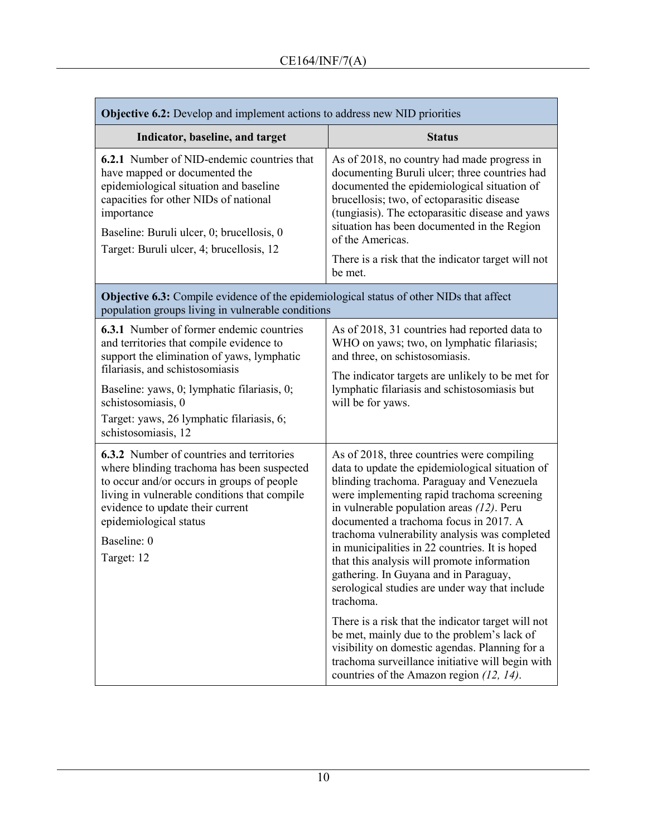| <b>Objective 6.2:</b> Develop and implement actions to address new NID priorities                                                                                                                                                                                                                                     |                                                                                                                                                                                                                                                                                                                                                                                                                                                                                                                                                                                                                                                                                                                                                                                                     |  |
|-----------------------------------------------------------------------------------------------------------------------------------------------------------------------------------------------------------------------------------------------------------------------------------------------------------------------|-----------------------------------------------------------------------------------------------------------------------------------------------------------------------------------------------------------------------------------------------------------------------------------------------------------------------------------------------------------------------------------------------------------------------------------------------------------------------------------------------------------------------------------------------------------------------------------------------------------------------------------------------------------------------------------------------------------------------------------------------------------------------------------------------------|--|
| Indicator, baseline, and target                                                                                                                                                                                                                                                                                       | <b>Status</b>                                                                                                                                                                                                                                                                                                                                                                                                                                                                                                                                                                                                                                                                                                                                                                                       |  |
| <b>6.2.1</b> Number of NID-endemic countries that<br>have mapped or documented the<br>epidemiological situation and baseline<br>capacities for other NIDs of national<br>importance<br>Baseline: Buruli ulcer, 0; brucellosis, 0<br>Target: Buruli ulcer, 4; brucellosis, 12                                          | As of 2018, no country had made progress in<br>documenting Buruli ulcer; three countries had<br>documented the epidemiological situation of<br>brucellosis; two, of ectoparasitic disease<br>(tungiasis). The ectoparasitic disease and yaws<br>situation has been documented in the Region<br>of the Americas.<br>There is a risk that the indicator target will not<br>be met.                                                                                                                                                                                                                                                                                                                                                                                                                    |  |
| <b>Objective 6.3:</b> Compile evidence of the epidemiological status of other NIDs that affect<br>population groups living in vulnerable conditions                                                                                                                                                                   |                                                                                                                                                                                                                                                                                                                                                                                                                                                                                                                                                                                                                                                                                                                                                                                                     |  |
| <b>6.3.1</b> Number of former endemic countries<br>and territories that compile evidence to<br>support the elimination of yaws, lymphatic<br>filariasis, and schistosomiasis<br>Baseline: yaws, 0; lymphatic filariasis, 0;<br>schistosomiasis, 0<br>Target: yaws, 26 lymphatic filariasis, 6;<br>schistosomiasis, 12 | As of 2018, 31 countries had reported data to<br>WHO on yaws; two, on lymphatic filariasis;<br>and three, on schistosomiasis.<br>The indicator targets are unlikely to be met for<br>lymphatic filariasis and schistosomiasis but<br>will be for yaws.                                                                                                                                                                                                                                                                                                                                                                                                                                                                                                                                              |  |
| <b>6.3.2</b> Number of countries and territories<br>where blinding trachoma has been suspected<br>to occur and/or occurs in groups of people<br>living in vulnerable conditions that compile<br>evidence to update their current<br>epidemiological status<br>Baseline: 0<br>Target: 12                               | As of 2018, three countries were compiling<br>data to update the epidemiological situation of<br>blinding trachoma. Paraguay and Venezuela<br>were implementing rapid trachoma screening<br>in vulnerable population areas $(12)$ . Peru<br>documented a trachoma focus in 2017. A<br>trachoma vulnerability analysis was completed<br>in municipalities in 22 countries. It is hoped<br>that this analysis will promote information<br>gathering. In Guyana and in Paraguay,<br>serological studies are under way that include<br>trachoma.<br>There is a risk that the indicator target will not<br>be met, mainly due to the problem's lack of<br>visibility on domestic agendas. Planning for a<br>trachoma surveillance initiative will begin with<br>countries of the Amazon region (12, 14). |  |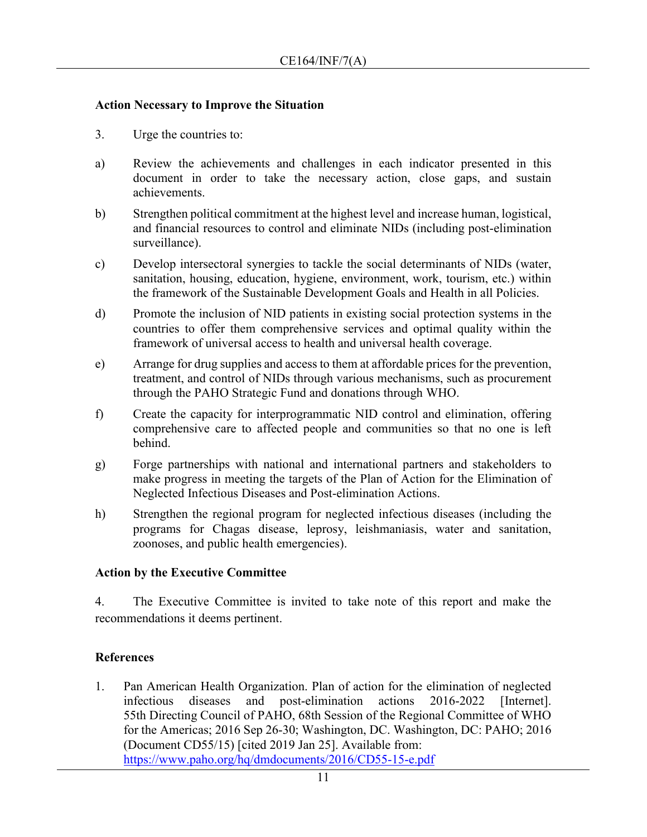### **Action Necessary to Improve the Situation**

- 3. Urge the countries to:
- a) Review the achievements and challenges in each indicator presented in this document in order to take the necessary action, close gaps, and sustain achievements.
- b) Strengthen political commitment at the highest level and increase human, logistical, and financial resources to control and eliminate NIDs (including post-elimination surveillance).
- c) Develop intersectoral synergies to tackle the social determinants of NIDs (water, sanitation, housing, education, hygiene, environment, work, tourism, etc.) within the framework of the Sustainable Development Goals and Health in all Policies.
- d) Promote the inclusion of NID patients in existing social protection systems in the countries to offer them comprehensive services and optimal quality within the framework of universal access to health and universal health coverage.
- e) Arrange for drug supplies and access to them at affordable prices for the prevention, treatment, and control of NIDs through various mechanisms, such as procurement through the PAHO Strategic Fund and donations through WHO.
- f) Create the capacity for interprogrammatic NID control and elimination, offering comprehensive care to affected people and communities so that no one is left behind.
- g) Forge partnerships with national and international partners and stakeholders to make progress in meeting the targets of the Plan of Action for the Elimination of Neglected Infectious Diseases and Post-elimination Actions.
- h) Strengthen the regional program for neglected infectious diseases (including the programs for Chagas disease, leprosy, leishmaniasis, water and sanitation, zoonoses, and public health emergencies).

# **Action by the Executive Committee**

4. The Executive Committee is invited to take note of this report and make the recommendations it deems pertinent.

# **References**

1. Pan American Health Organization. Plan of action for the elimination of neglected infectious diseases and post-elimination actions 2016-2022 [Internet]. 55th Directing Council of PAHO, 68th Session of the Regional Committee of WHO for the Americas; 2016 Sep 26-30; Washington, DC. Washington, DC: PAHO; 2016 (Document CD55/15) [cited 2019 Jan 25]. Available from: <https://www.paho.org/hq/dmdocuments/2016/CD55-15-e.pdf>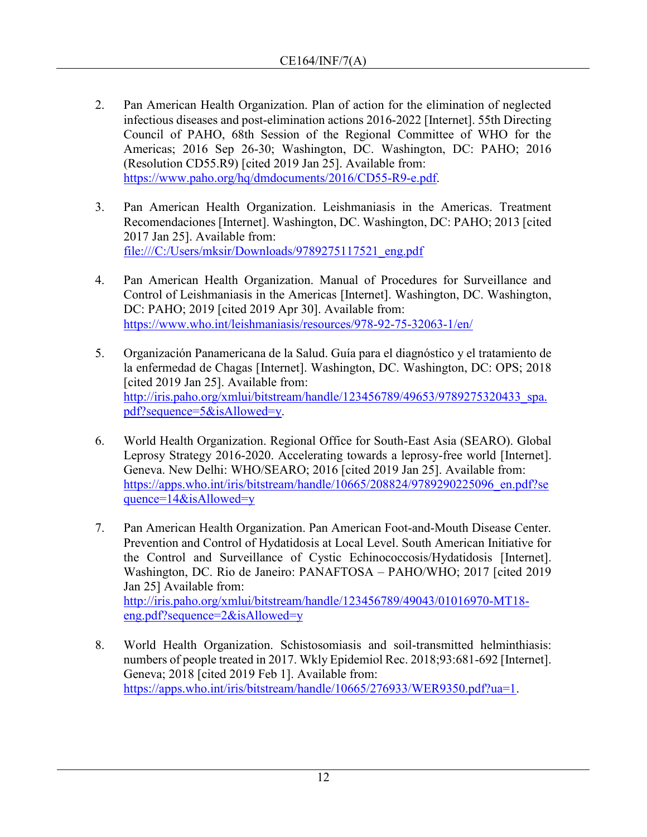- 2. Pan American Health Organization. Plan of action for the elimination of neglected infectious diseases and post-elimination actions 2016-2022 [Internet]. 55th Directing Council of PAHO, 68th Session of the Regional Committee of WHO for the Americas; 2016 Sep 26-30; Washington, DC. Washington, DC: PAHO; 2016 (Resolution CD55.R9) [cited 2019 Jan 25]. Available from: [https://www.paho.org/hq/dmdocuments/2016/CD55-R9-e.pdf.](https://www.paho.org/hq/dmdocuments/2016/CD55-R9-e.pdf)
- 3. Pan American Health Organization. Leishmaniasis in the Americas. Treatment Recomendaciones [Internet]. Washington, DC. Washington, DC: PAHO; 2013 [cited 2017 Jan 25]. Available from: [file:///C:/Users/mksir/Downloads/9789275117521\\_eng.pdf](file:///C:/Users/mksir/Downloads/9789275117521_eng.pdf)
- 4. Pan American Health Organization. Manual of Procedures for Surveillance and Control of Leishmaniasis in the Americas [Internet]. Washington, DC. Washington, DC: PAHO; 2019 [cited 2019 Apr 30]. Available from: <https://www.who.int/leishmaniasis/resources/978-92-75-32063-1/en/>
- 5. Organización Panamericana de la Salud. Guía para el diagnóstico y el tratamiento de la enfermedad de Chagas [Internet]. Washington, DC. Washington, DC: OPS; 2018 [cited 2019 Jan 25]. Available from: [http://iris.paho.org/xmlui/bitstream/handle/123456789/49653/9789275320433\\_spa.](http://iris.paho.org/xmlui/bitstream/handle/123456789/49653/9789275320433_spa.pdf?sequence=5&isAllowed=y) [pdf?sequence=5&isAllowed=y.](http://iris.paho.org/xmlui/bitstream/handle/123456789/49653/9789275320433_spa.pdf?sequence=5&isAllowed=y)
- 6. World Health Organization. Regional Office for South-East Asia (SEARO). Global Leprosy Strategy 2016-2020. Accelerating towards a leprosy-free world [Internet]. Geneva. New Delhi: WHO/SEARO; 2016 [cited 2019 Jan 25]. Available from: [https://apps.who.int/iris/bitstream/handle/10665/208824/9789290225096\\_en.pdf?se](https://apps.who.int/iris/bitstream/handle/10665/208824/9789290225096_en.pdf?sequence=14&isAllowed=y) quence= $14\&\text{is}$ Allowed=v
- 7. Pan American Health Organization. Pan American Foot-and-Mouth Disease Center. Prevention and Control of Hydatidosis at Local Level. South American Initiative for the Control and Surveillance of Cystic Echinococcosis/Hydatidosis [Internet]. Washington, DC. Rio de Janeiro: PANAFTOSA – PAHO/WHO; 2017 [cited 2019 Jan 25] Available from: [http://iris.paho.org/xmlui/bitstream/handle/123456789/49043/01016970-MT18](http://iris.paho.org/xmlui/bitstream/handle/123456789/49043/01016970-MT18-eng.pdf?sequence=2&isAllowed=y) [eng.pdf?sequence=2&isAllowed=y](http://iris.paho.org/xmlui/bitstream/handle/123456789/49043/01016970-MT18-eng.pdf?sequence=2&isAllowed=y)
- 8. World Health Organization. Schistosomiasis and soil-transmitted helminthiasis: numbers of people treated in 2017. Wkly Epidemiol Rec. 2018;93:681-692 [Internet]. Geneva; 2018 [cited 2019 Feb 1]. Available from: [https://apps.who.int/iris/bitstream/handle/10665/276933/WER9350.pdf?ua=1.](https://apps.who.int/iris/bitstream/handle/10665/276933/WER9350.pdf?ua=1)